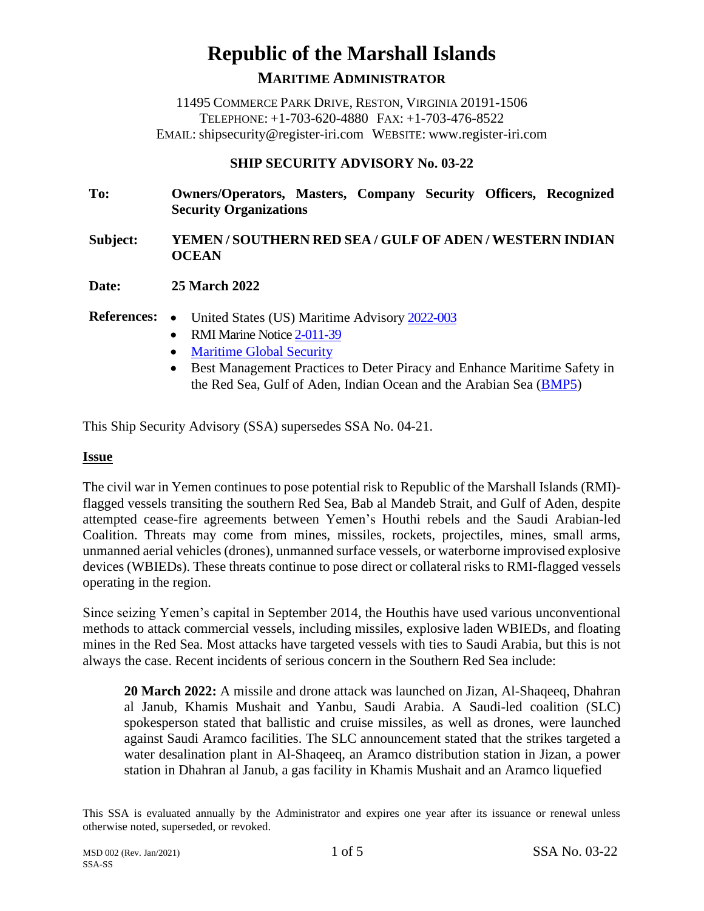# **Republic of the Marshall Islands**

**MARITIME ADMINISTRATOR**

11495 COMMERCE PARK DRIVE, RESTON, VIRGINIA 20191-1506 TELEPHONE: +1-703-620-4880 FAX: +1-703-476-8522 EMAIL: shipsecurity@register-iri.com WEBSITE: www.register-iri.com

# **SHIP SECURITY ADVISORY No. 03-22**

**To: Owners/Operators, Masters, Company Security Officers, Recognized Security Organizations**

### **Subject: YEMEN / SOUTHERN RED SEA / GULF OF ADEN / WESTERN INDIAN OCEAN**

**Date: 25 March 2022**

References: • United States (US) Maritime Advisory [2022-003](https://www.maritime.dot.gov/msci/2022-003-persian-gulf-strait-hormuz-gulf-oman-arabian-sea-gulf-aden-bab-al-mandeb-strait-red)

- RMI Marine Notic[e 2-011-39](https://www.register-iri.com/wp-content/uploads/MN-2-011-39.pdf)
- [Maritime Global Security](https://www.maritimeglobalsecurity.org/geography/goa-etc/)
- Best Management Practices to Deter Piracy and Enhance Maritime Safety in the Red Sea, Gulf of Aden, Indian Ocean and the Arabian Sea [\(BMP5\)](https://www.maritimeglobalsecurity.org/media/1038/bmp5-high_res.pdf)

This Ship Security Advisory (SSA) supersedes SSA No. 04-21.

#### **Issue**

The civil war in Yemen continues to pose potential risk to Republic of the Marshall Islands (RMI) flagged vessels transiting the southern Red Sea, Bab al Mandeb Strait, and Gulf of Aden, despite attempted cease-fire agreements between Yemen's Houthi rebels and the Saudi Arabian-led Coalition. Threats may come from mines, missiles, rockets, projectiles, mines, small arms, unmanned aerial vehicles (drones), unmanned surface vessels, or waterborne improvised explosive devices (WBIEDs). These threats continue to pose direct or collateral risks to RMI-flagged vessels operating in the region.

Since seizing Yemen's capital in September 2014, the Houthis have used various unconventional methods to attack commercial vessels, including missiles, explosive laden WBIEDs, and floating mines in the Red Sea. Most attacks have targeted vessels with ties to Saudi Arabia, but this is not always the case. Recent incidents of serious concern in the Southern Red Sea include:

**20 March 2022:** A missile and drone attack was launched on Jizan, Al-Shaqeeq, Dhahran al Janub, Khamis Mushait and Yanbu, Saudi Arabia. A Saudi-led coalition (SLC) spokesperson stated that ballistic and cruise missiles, as well as drones, were launched against Saudi Aramco facilities. The SLC announcement stated that the strikes targeted a water desalination plant in Al-Shaqeeq, an Aramco distribution station in Jizan, a power station in Dhahran al Janub, a gas facility in Khamis Mushait and an Aramco liquefied

This SSA is evaluated annually by the Administrator and expires one year after its issuance or renewal unless otherwise noted, superseded, or revoked.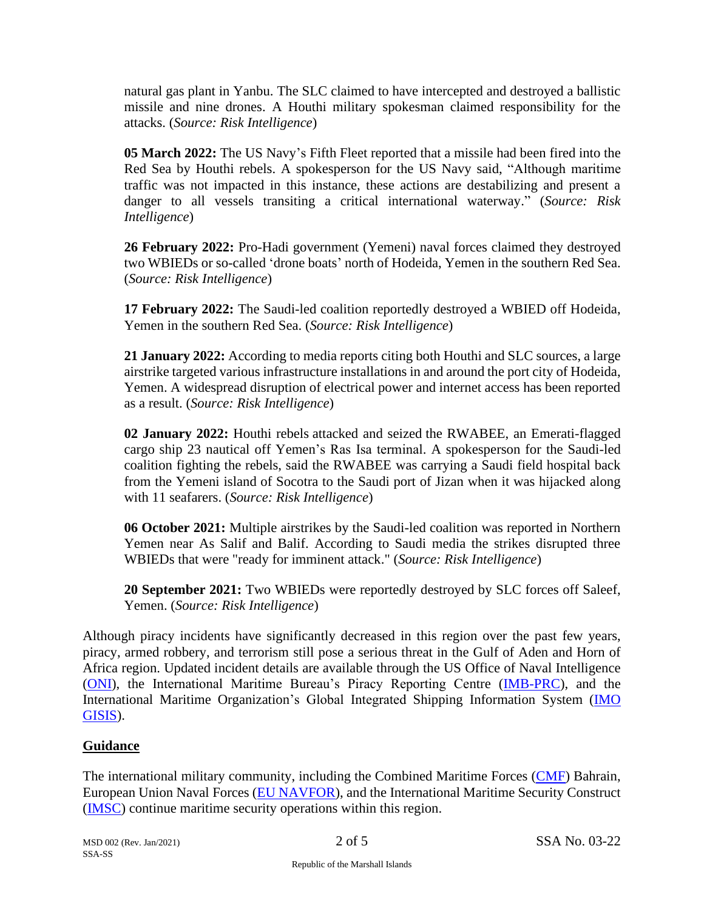natural gas plant in Yanbu. The SLC claimed to have intercepted and destroyed a ballistic missile and nine drones. A Houthi military spokesman claimed responsibility for the attacks. (*Source: Risk Intelligence*)

**05 March 2022:** The US Navy's Fifth Fleet reported that a missile had been fired into the Red Sea by Houthi rebels. A spokesperson for the US Navy said, "Although maritime traffic was not impacted in this instance, these actions are destabilizing and present a danger to all vessels transiting a critical international waterway." (*Source: Risk Intelligence*)

**26 February 2022:** Pro-Hadi government (Yemeni) naval forces claimed they destroyed two WBIEDs or so-called 'drone boats' north of Hodeida, Yemen in the southern Red Sea. (*Source: Risk Intelligence*)

**17 February 2022:** The Saudi-led coalition reportedly destroyed a WBIED off Hodeida, Yemen in the southern Red Sea. (*Source: Risk Intelligence*)

**21 January 2022:** According to media reports citing both Houthi and SLC sources, a large airstrike targeted various infrastructure installations in and around the port city of Hodeida, Yemen. A widespread disruption of electrical power and internet access has been reported as a result. (*Source: Risk Intelligence*)

**02 January 2022:** Houthi rebels attacked and seized the RWABEE, an Emerati-flagged cargo ship 23 nautical off Yemen's Ras Isa terminal. A spokesperson for the Saudi-led coalition fighting the rebels, said the RWABEE was carrying a Saudi field hospital back from the Yemeni island of Socotra to the Saudi port of Jizan when it was hijacked along with 11 seafarers. (*Source: Risk Intelligence*)

**06 October 2021:** Multiple airstrikes by the Saudi-led coalition was reported in Northern Yemen near As Salif and Balif. According to Saudi media the strikes disrupted three WBIEDs that were "ready for imminent attack." (*Source: Risk Intelligence*)

**20 September 2021:** Two WBIEDs were reportedly destroyed by SLC forces off Saleef, Yemen. (*Source: Risk Intelligence*)

Although piracy incidents have significantly decreased in this region over the past few years, piracy, armed robbery, and terrorism still pose a serious threat in the Gulf of Aden and Horn of Africa region. Updated incident details are available through the US Office of Naval Intelligence [\(ONI\)](https://www.oni.navy.mil/News/Shipping-Threat-Reports/), the International Maritime Bureau's Piracy Reporting Centre [\(IMB-PRC\)](https://www.icc-ccs.org/piracy-reporting-centre), and the International Maritime Organization's Global Integrated Shipping Information System [\(IMO](https://gisis.imo.org/Public/Default.aspx)  [GISIS\)](https://gisis.imo.org/Public/Default.aspx).

#### **Guidance**

The international military community, including the Combined Maritime Forces [\(CMF\)](https://combinedmaritimeforces.com/) Bahrain, European Union Naval Forces [\(EU NAVFOR\)](https://eunavfor.eu/), and the International Maritime Security Construct [\(IMSC\)](https://www.imscsentinel.com/) continue maritime security operations within this region.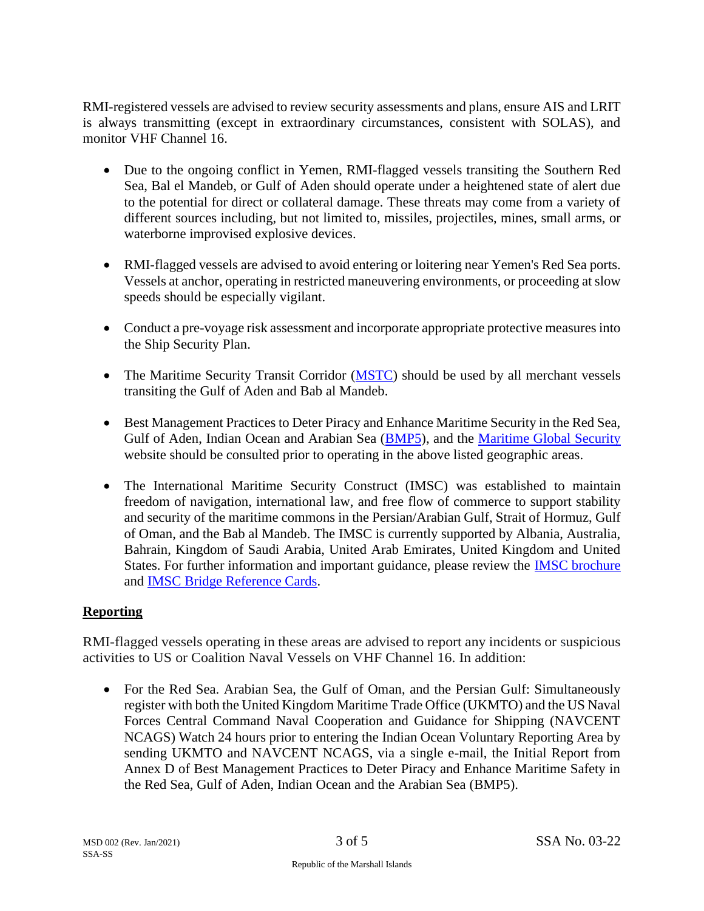RMI-registered vessels are advised to review security assessments and plans, ensure AIS and LRIT is always transmitting (except in extraordinary circumstances, consistent with SOLAS), and monitor VHF Channel 16.

- Due to the ongoing conflict in Yemen, RMI-flagged vessels transiting the Southern Red Sea, Bal el Mandeb, or Gulf of Aden should operate under a heightened state of alert due to the potential for direct or collateral damage. These threats may come from a variety of different sources including, but not limited to, missiles, projectiles, mines, small arms, or waterborne improvised explosive devices.
- RMI-flagged vessels are advised to avoid entering or loitering near Yemen's Red Sea ports. Vessels at anchor, operating in restricted maneuvering environments, or proceeding at slow speeds should be especially vigilant.
- Conduct a pre-voyage risk assessment and incorporate appropriate protective measures into the Ship Security Plan.
- The Maritime Security Transit Corridor [\(MSTC\)](https://combinedmaritimeforces.com/maritime-security-transit-corridor-mstc/) should be used by all merchant vessels transiting the Gulf of Aden and Bab al Mandeb.
- Best Management Practices to Deter Piracy and Enhance Maritime Security in the Red Sea, Gulf of Aden, Indian Ocean and Arabian Sea [\(BMP5\)](https://www.maritimeglobalsecurity.org/media/1038/bmp5-high_res.pdf), and the [Maritime Global Security](http://www.maritimeglobalsecurity.org/) website should be consulted prior to operating in the above listed geographic areas.
- The International Maritime Security Construct (IMSC) was established to maintain freedom of navigation, international law, and free flow of commerce to support stability and security of the maritime commons in the Persian/Arabian Gulf, Strait of Hormuz, Gulf of Oman, and the Bab al Mandeb. The IMSC is currently supported by Albania, Australia, Bahrain, Kingdom of Saudi Arabia, United Arab Emirates, United Kingdom and United States. For further information and important guidance, please review the **IMSC** brochure and [IMSC Bridge Reference Cards.](https://www.register-iri.com/wp-content/uploads/20211206_IMSC-Bridge-Card-English-SSA-01-22.pdf)

# **Reporting**

RMI-flagged vessels operating in these areas are advised to report any incidents or suspicious activities to US or Coalition Naval Vessels on VHF Channel 16. In addition:

• For the Red Sea. Arabian Sea, the Gulf of Oman, and the Persian Gulf: Simultaneously register with both the United Kingdom Maritime Trade Office (UKMTO) and the US Naval Forces Central Command Naval Cooperation and Guidance for Shipping (NAVCENT NCAGS) Watch 24 hours prior to entering the Indian Ocean Voluntary Reporting Area by sending UKMTO and NAVCENT NCAGS, via a single e-mail, the Initial Report from Annex D of Best Management Practices to Deter Piracy and Enhance Maritime Safety in the Red Sea, Gulf of Aden, Indian Ocean and the Arabian Sea (BMP5).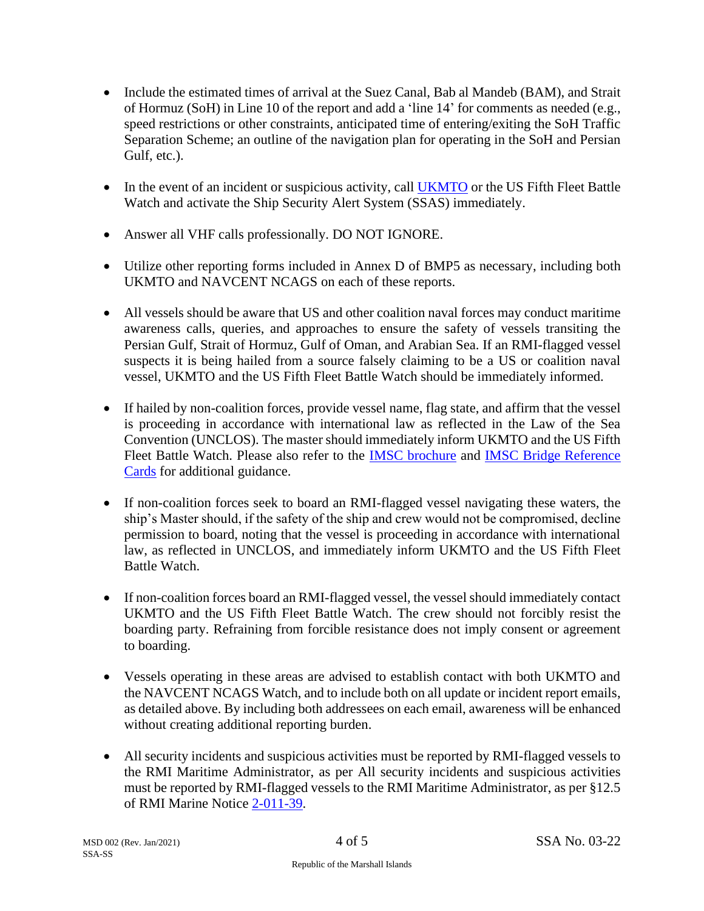- Include the estimated times of arrival at the Suez Canal, Bab al Mandeb (BAM), and Strait of Hormuz (SoH) in Line 10 of the report and add a 'line 14' for comments as needed (e.g., speed restrictions or other constraints, anticipated time of entering/exiting the SoH Traffic Separation Scheme; an outline of the navigation plan for operating in the SoH and Persian Gulf, etc.).
- In the event of an incident or suspicious activity, call [UKMTO](https://www.ukmto.org/) or the US Fifth Fleet Battle Watch and activate the Ship Security Alert System (SSAS) immediately.
- Answer all VHF calls professionally. DO NOT IGNORE.
- Utilize other reporting forms included in Annex D of BMP5 as necessary, including both UKMTO and NAVCENT NCAGS on each of these reports.
- All vessels should be aware that US and other coalition naval forces may conduct maritime awareness calls, queries, and approaches to ensure the safety of vessels transiting the Persian Gulf, Strait of Hormuz, Gulf of Oman, and Arabian Sea. If an RMI-flagged vessel suspects it is being hailed from a source falsely claiming to be a US or coalition naval vessel, UKMTO and the US Fifth Fleet Battle Watch should be immediately informed.
- If hailed by non-coalition forces, provide vessel name, flag state, and affirm that the vessel is proceeding in accordance with international law as reflected in the Law of the Sea Convention (UNCLOS). The master should immediately inform UKMTO and the US Fifth Fleet Battle Watch. Please also refer to the [IMSC brochure](https://www.register-iri.com/wp-content/uploads/IMSC-Brochure-SSA-01-20.pdf) and [IMSC Bridge Reference](https://www.register-iri.com/wp-content/uploads/20211206_IMSC-Bridge-Card-English-SSA-01-22.pdf)  [Cards](https://www.register-iri.com/wp-content/uploads/20211206_IMSC-Bridge-Card-English-SSA-01-22.pdf) for additional guidance.
- If non-coalition forces seek to board an RMI-flagged vessel navigating these waters, the ship's Master should, if the safety of the ship and crew would not be compromised, decline permission to board, noting that the vessel is proceeding in accordance with international law, as reflected in UNCLOS, and immediately inform UKMTO and the US Fifth Fleet Battle Watch.
- If non-coalition forces board an RMI-flagged vessel, the vessel should immediately contact UKMTO and the US Fifth Fleet Battle Watch. The crew should not forcibly resist the boarding party. Refraining from forcible resistance does not imply consent or agreement to boarding.
- Vessels operating in these areas are advised to establish contact with both UKMTO and the NAVCENT NCAGS Watch, and to include both on all update or incident report emails, as detailed above. By including both addressees on each email, awareness will be enhanced without creating additional reporting burden.
- All security incidents and suspicious activities must be reported by RMI-flagged vessels to the RMI Maritime Administrator, as per All security incidents and suspicious activities must be reported by RMI-flagged vessels to the RMI Maritime Administrator, as per §12.5 of RMI Marine Notice [2-011-39.](https://www.register-iri.com/wp-content/uploads/MN-2-011-39.pdf)